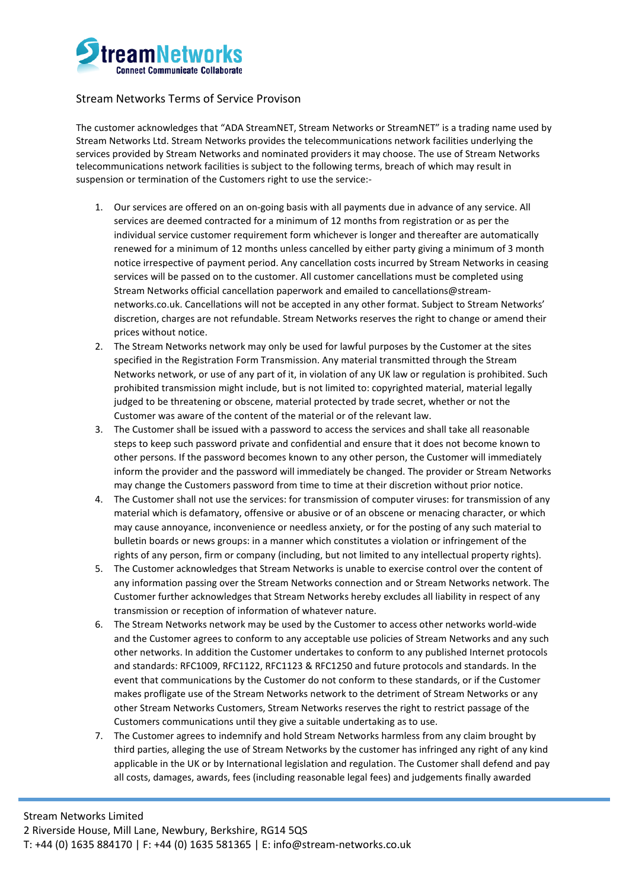

## Stream Networks Terms of Service Provison

The customer acknowledges that "ADA StreamNET, Stream Networks or StreamNET" is a trading name used by Stream Networks Ltd. Stream Networks provides the telecommunications network facilities underlying the services provided by Stream Networks and nominated providers it may choose. The use of Stream Networks telecommunications network facilities is subject to the following terms, breach of which may result in suspension or termination of the Customers right to use the service:-

- 1. Our services are offered on an on-going basis with all payments due in advance of any service. All services are deemed contracted for a minimum of 12 months from registration or as per the individual service customer requirement form whichever is longer and thereafter are automatically renewed for a minimum of 12 months unless cancelled by either party giving a minimum of 3 month notice irrespective of payment period. Any cancellation costs incurred by Stream Networks in ceasing services will be passed on to the customer. All customer cancellations must be completed using Stream Networks official cancellation paperwork and emailed to cancellations@streamnetworks.co.uk. Cancellations will not be accepted in any other format. Subject to Stream Networks' discretion, charges are not refundable. Stream Networks reserves the right to change or amend their prices without notice.
- 2. The Stream Networks network may only be used for lawful purposes by the Customer at the sites specified in the Registration Form Transmission. Any material transmitted through the Stream Networks network, or use of any part of it, in violation of any UK law or regulation is prohibited. Such prohibited transmission might include, but is not limited to: copyrighted material, material legally judged to be threatening or obscene, material protected by trade secret, whether or not the Customer was aware of the content of the material or of the relevant law.
- 3. The Customer shall be issued with a password to access the services and shall take all reasonable steps to keep such password private and confidential and ensure that it does not become known to other persons. If the password becomes known to any other person, the Customer will immediately inform the provider and the password will immediately be changed. The provider or Stream Networks may change the Customers password from time to time at their discretion without prior notice.
- 4. The Customer shall not use the services: for transmission of computer viruses: for transmission of any material which is defamatory, offensive or abusive or of an obscene or menacing character, or which may cause annoyance, inconvenience or needless anxiety, or for the posting of any such material to bulletin boards or news groups: in a manner which constitutes a violation or infringement of the rights of any person, firm or company (including, but not limited to any intellectual property rights).
- 5. The Customer acknowledges that Stream Networks is unable to exercise control over the content of any information passing over the Stream Networks connection and or Stream Networks network. The Customer further acknowledges that Stream Networks hereby excludes all liability in respect of any transmission or reception of information of whatever nature.
- 6. The Stream Networks network may be used by the Customer to access other networks world-wide and the Customer agrees to conform to any acceptable use policies of Stream Networks and any such other networks. In addition the Customer undertakes to conform to any published Internet protocols and standards: RFC1009, RFC1122, RFC1123 & RFC1250 and future protocols and standards. In the event that communications by the Customer do not conform to these standards, or if the Customer makes profligate use of the Stream Networks network to the detriment of Stream Networks or any other Stream Networks Customers, Stream Networks reserves the right to restrict passage of the Customers communications until they give a suitable undertaking as to use.
- 7. The Customer agrees to indemnify and hold Stream Networks harmless from any claim brought by third parties, alleging the use of Stream Networks by the customer has infringed any right of any kind applicable in the UK or by International legislation and regulation. The Customer shall defend and pay all costs, damages, awards, fees (including reasonable legal fees) and judgements finally awarded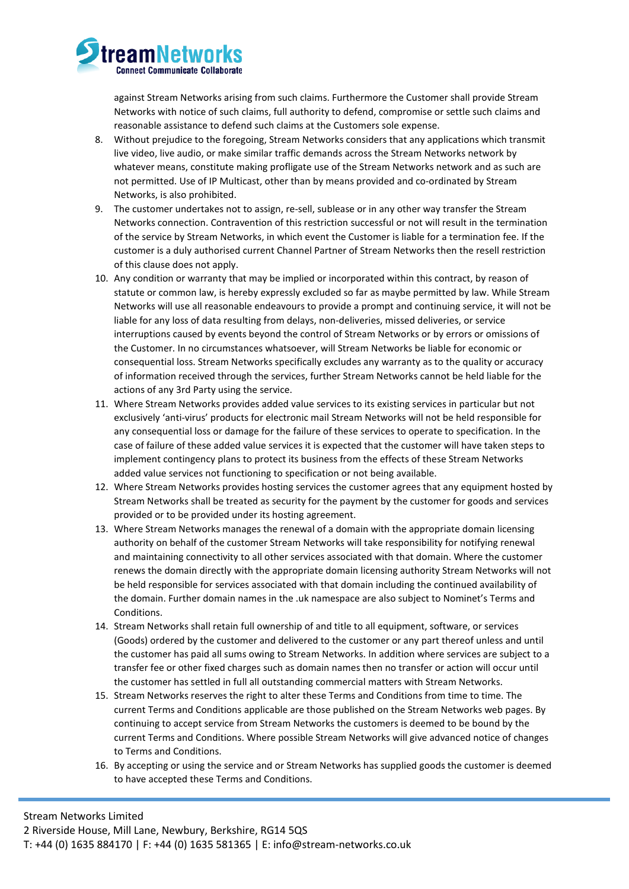

against Stream Networks arising from such claims. Furthermore the Customer shall provide Stream Networks with notice of such claims, full authority to defend, compromise or settle such claims and reasonable assistance to defend such claims at the Customers sole expense.

- 8. Without prejudice to the foregoing, Stream Networks considers that any applications which transmit live video, live audio, or make similar traffic demands across the Stream Networks network by whatever means, constitute making profligate use of the Stream Networks network and as such are not permitted. Use of IP Multicast, other than by means provided and co-ordinated by Stream Networks, is also prohibited.
- 9. The customer undertakes not to assign, re-sell, sublease or in any other way transfer the Stream Networks connection. Contravention of this restriction successful or not will result in the termination of the service by Stream Networks, in which event the Customer is liable for a termination fee. If the customer is a duly authorised current Channel Partner of Stream Networks then the resell restriction of this clause does not apply.
- 10. Any condition or warranty that may be implied or incorporated within this contract, by reason of statute or common law, is hereby expressly excluded so far as maybe permitted by law. While Stream Networks will use all reasonable endeavours to provide a prompt and continuing service, it will not be liable for any loss of data resulting from delays, non-deliveries, missed deliveries, or service interruptions caused by events beyond the control of Stream Networks or by errors or omissions of the Customer. In no circumstances whatsoever, will Stream Networks be liable for economic or consequential loss. Stream Networks specifically excludes any warranty as to the quality or accuracy of information received through the services, further Stream Networks cannot be held liable for the actions of any 3rd Party using the service.
- 11. Where Stream Networks provides added value services to its existing services in particular but not exclusively 'anti-virus' products for electronic mail Stream Networks will not be held responsible for any consequential loss or damage for the failure of these services to operate to specification. In the case of failure of these added value services it is expected that the customer will have taken steps to implement contingency plans to protect its business from the effects of these Stream Networks added value services not functioning to specification or not being available.
- 12. Where Stream Networks provides hosting services the customer agrees that any equipment hosted by Stream Networks shall be treated as security for the payment by the customer for goods and services provided or to be provided under its hosting agreement.
- 13. Where Stream Networks manages the renewal of a domain with the appropriate domain licensing authority on behalf of the customer Stream Networks will take responsibility for notifying renewal and maintaining connectivity to all other services associated with that domain. Where the customer renews the domain directly with the appropriate domain licensing authority Stream Networks will not be held responsible for services associated with that domain including the continued availability of the domain. Further domain names in the .uk namespace are also subject to Nominet's Terms and Conditions.
- 14. Stream Networks shall retain full ownership of and title to all equipment, software, or services (Goods) ordered by the customer and delivered to the customer or any part thereof unless and until the customer has paid all sums owing to Stream Networks. In addition where services are subject to a transfer fee or other fixed charges such as domain names then no transfer or action will occur until the customer has settled in full all outstanding commercial matters with Stream Networks.
- 15. Stream Networks reserves the right to alter these Terms and Conditions from time to time. The current Terms and Conditions applicable are those published on the Stream Networks web pages. By continuing to accept service from Stream Networks the customers is deemed to be bound by the current Terms and Conditions. Where possible Stream Networks will give advanced notice of changes to Terms and Conditions.
- 16. By accepting or using the service and or Stream Networks has supplied goods the customer is deemed to have accepted these Terms and Conditions.